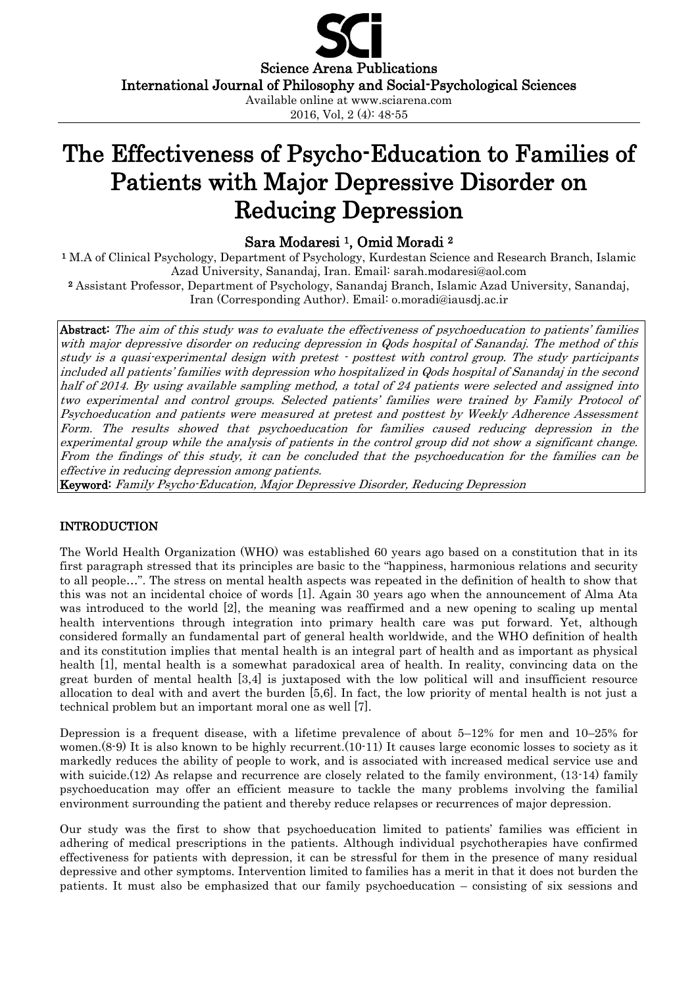Science Arena Publications International Journal of Philosophy and Social-Psychological Sciences Available online at www.sciarena.com 2016, Vol, 2 (4): 48-55

# The Effectiveness of Psycho-Education to Families of Patients with Major Depressive Disorder on Reducing Depression

# Sara Modaresi 1, Omid Moradi <sup>2</sup>

<sup>1</sup> M.A of Clinical Psychology, Department of Psychology, Kurdestan Science and Research Branch, Islamic Azad University, Sanandaj, Iran. Email: [sarah.modaresi@aol.com](mailto:sarah.modaresi@aol.com) 

<sup>2</sup> Assistant Professor, Department of Psychology, Sanandaj Branch, Islamic Azad University, Sanandaj, Iran (Corresponding Author). Email: [o.moradi@iausdj.ac.ir](mailto:o.moradi@iausdj.ac.ir)

Abstract: The aim of this study was to evaluate the effectiveness of psychoeducation to patients' families with major depressive disorder on reducing depression in Qods hospital of Sanandaj. The method of this study is a quasi-experimental design with pretest - posttest with control group. The study participants included all patients' families with depression who hospitalized in Qods hospital of Sanandaj in the second half of 2014. By using available sampling method, a total of 24 patients were selected and assigned into two experimental and control groups. Selected patients' families were trained by Family Protocol of Psychoeducation and patients were measured at pretest and posttest by Weekly Adherence Assessment Form. The results showed that psychoeducation for families caused reducing depression in the experimental group while the analysis of patients in the control group did not show a significant change. From the findings of this study, it can be concluded that the psychoeducation for the families can be effective in reducing depression among patients.

Keyword: Family Psycho-Education, Major Depressive Disorder, Reducing Depression

#### INTRODUCTION

The World Health Organization (WHO) was established 60 years ago based on a constitution that in its first paragraph stressed that its principles are basic to the "happiness, harmonious relations and security to all people…". The stress on mental health aspects was repeated in the definition of health to show that this was not an incidental choice of words [1]. Again 30 years ago when the announcement of Alma Ata was introduced to the world [2], the meaning was reaffirmed and a new opening to scaling up mental health interventions through integration into primary health care was put forward. Yet, although considered formally an fundamental part of general health worldwide, and the WHO definition of health and its constitution implies that mental health is an integral part of health and as important as physical health [1], mental health is a somewhat paradoxical area of health. In reality, convincing data on the great burden of mental health [3,4] is juxtaposed with the low political will and insufficient resource allocation to deal with and avert the burden [5,6]. In fact, the low priority of mental health is not just a technical problem but an important moral one as well [7].

Depression is a frequent disease, with a lifetime prevalence of about 5–12% for men and 10–25% for women.(8-9) It is also known to be highly recurrent.(10-11) It causes large economic losses to society as it markedly reduces the ability of people to work, and is associated with increased medical service use and with suicide. (12) As relapse and recurrence are closely related to the family environment, (13-14) family psychoeducation may offer an efficient measure to tackle the many problems involving the familial environment surrounding the patient and thereby reduce relapses or recurrences of major depression.

Our study was the first to show that psychoeducation limited to patients' families was efficient in adhering of medical prescriptions in the patients. Although individual psychotherapies have confirmed effectiveness for patients with depression, it can be stressful for them in the presence of many residual depressive and other symptoms. Intervention limited to families has a merit in that it does not burden the patients. It must also be emphasized that our family psychoeducation – consisting of six sessions and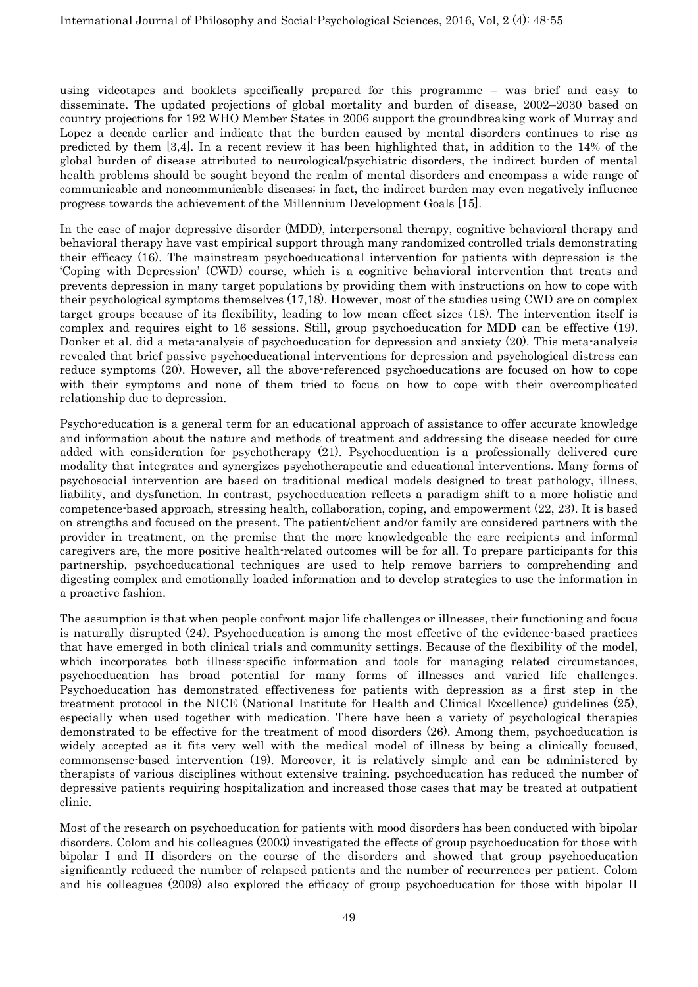using videotapes and booklets specifically prepared for this programme – was brief and easy to disseminate. The updated projections of global mortality and burden of disease, 2002–2030 based on country projections for 192 WHO Member States in 2006 support the groundbreaking work of Murray and Lopez a decade earlier and indicate that the burden caused by mental disorders continues to rise as predicted by them [3,4]. In a recent review it has been highlighted that, in addition to the 14% of the global burden of disease attributed to neurological/psychiatric disorders, the indirect burden of mental health problems should be sought beyond the realm of mental disorders and encompass a wide range of communicable and noncommunicable diseases; in fact, the indirect burden may even negatively influence progress towards the achievement of the Millennium Development Goals [15].

In the case of major depressive disorder (MDD), interpersonal therapy, cognitive behavioral therapy and behavioral therapy have vast empirical support through many randomized controlled trials demonstrating their efficacy (16). The mainstream psychoeducational intervention for patients with depression is the 'Coping with Depression' (CWD) course, which is a cognitive behavioral intervention that treats and prevents depression in many target populations by providing them with instructions on how to cope with their psychological symptoms themselves (17,18). However, most of the studies using CWD are on complex target groups because of its flexibility, leading to low mean effect sizes (18). The intervention itself is complex and requires eight to 16 sessions. Still, group psychoeducation for MDD can be effective (19). Donker et al. did a meta-analysis of psychoeducation for depression and anxiety (20). This meta-analysis revealed that brief passive psychoeducational interventions for depression and psychological distress can reduce symptoms (20). However, all the above-referenced psychoeducations are focused on how to cope with their symptoms and none of them tried to focus on how to cope with their overcomplicated relationship due to depression.

Psycho-education is a general term for an educational approach of assistance to offer accurate knowledge and information about the nature and methods of treatment and addressing the disease needed for cure added with consideration for psychotherapy (21). Psychoeducation is a professionally delivered cure modality that integrates and synergizes psychotherapeutic and educational interventions. Many forms of psychosocial intervention are based on traditional medical models designed to treat pathology, illness, liability, and dysfunction. In contrast, psychoeducation reflects a paradigm shift to a more holistic and competence-based approach, stressing health, collaboration, coping, and empowerment (22, 23). It is based on strengths and focused on the present. The patient/client and/or family are considered partners with the provider in treatment, on the premise that the more knowledgeable the care recipients and informal caregivers are, the more positive health-related outcomes will be for all. To prepare participants for this partnership, psychoeducational techniques are used to help remove barriers to comprehending and digesting complex and emotionally loaded information and to develop strategies to use the information in a proactive fashion.

The assumption is that when people confront major life challenges or illnesses, their functioning and focus is naturally disrupted (24). Psychoeducation is among the most effective of the evidence-based practices that have emerged in both clinical trials and community settings. Because of the flexibility of the model, which incorporates both illness-specific information and tools for managing related circumstances, psychoeducation has broad potential for many forms of illnesses and varied life challenges. Psychoeducation has demonstrated effectiveness for patients with depression as a first step in the treatment protocol in the NICE (National Institute for Health and Clinical Excellence) guidelines (25), especially when used together with medication. There have been a variety of psychological therapies demonstrated to be effective for the treatment of mood disorders (26). Among them, psychoeducation is widely accepted as it fits very well with the medical model of illness by being a clinically focused, commonsense-based intervention (19). Moreover, it is relatively simple and can be administered by therapists of various disciplines without extensive training. psychoeducation has reduced the number of depressive patients requiring hospitalization and increased those cases that may be treated at outpatient clinic.

Most of the research on psychoeducation for patients with mood disorders has been conducted with bipolar disorders. Colom and his colleagues (2003) investigated the effects of group psychoeducation for those with bipolar I and II disorders on the course of the disorders and showed that group psychoeducation significantly reduced the number of relapsed patients and the number of recurrences per patient. Colom and his colleagues (2009) also explored the efficacy of group psychoeducation for those with bipolar II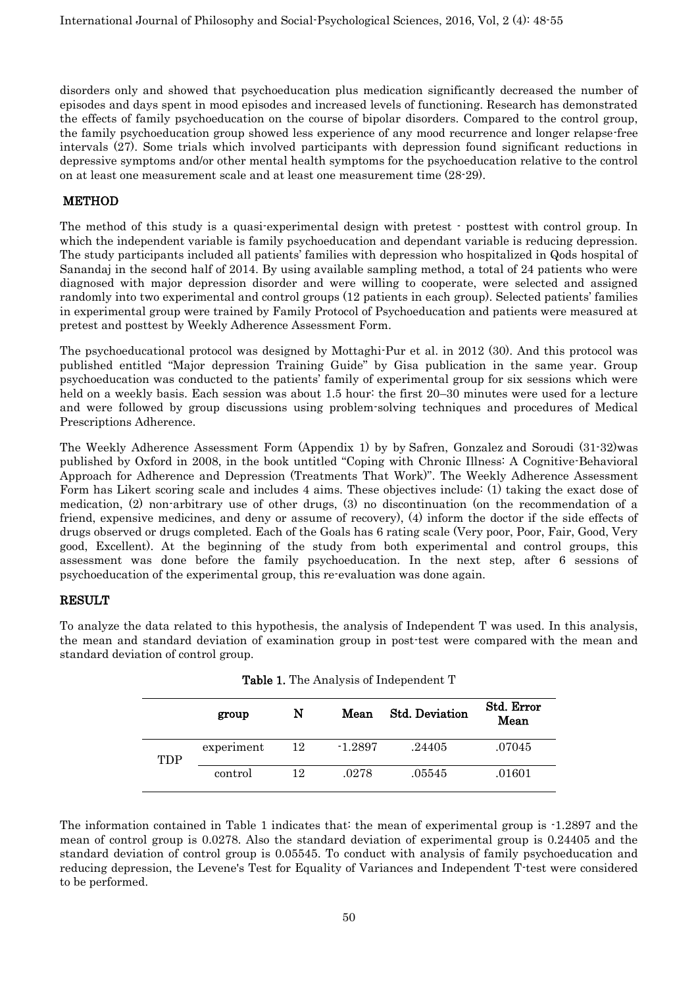disorders only and showed that psychoeducation plus medication significantly decreased the number of episodes and days spent in mood episodes and increased levels of functioning. Research has demonstrated the effects of family psychoeducation on the course of bipolar disorders. Compared to the control group, the family psychoeducation group showed less experience of any mood recurrence and longer relapse-free intervals (27). Some trials which involved participants with depression found significant reductions in depressive symptoms and/or other mental health symptoms for the psychoeducation relative to the control on at least one measurement scale and at least one measurement time (28-29).

## **METHOD**

The method of this study is a quasi-experimental design with pretest - posttest with control group. In which the independent variable is family psychoeducation and dependant variable is reducing depression. The study participants included all patients' families with depression who hospitalized in Qods hospital of Sanandaj in the second half of 2014. By using available sampling method, a total of 24 patients who were diagnosed with major depression disorder and were willing to cooperate, were selected and assigned randomly into two experimental and control groups (12 patients in each group). Selected patients' families in experimental group were trained by Family Protocol of Psychoeducation and patients were measured at pretest and posttest by Weekly Adherence Assessment Form.

The psychoeducational protocol was designed by Mottaghi-Pur et al. in 2012 (30). And this protocol was published entitled "Major depression Training Guide" by Gisa publication in the same year. Group psychoeducation was conducted to the patients' family of experimental group for six sessions which were held on a weekly basis. Each session was about 1.5 hour: the first 20–30 minutes were used for a lecture and were followed by group discussions using problem-solving techniques and procedures of Medical Prescriptions Adherence.

The Weekly Adherence Assessment Form (Appendix 1) by by [Safren,](https://www.amazon.com/s/ref=dp_byline_sr_book_1?ie=UTF8&text=Steven+Safren&search-alias=books&field-author=Steven+Safren&sort=relevancerank) [Gonzalez](https://www.amazon.com/s/ref=dp_byline_sr_book_2?ie=UTF8&text=Jeffrey+Gonzalez&search-alias=books&field-author=Jeffrey+Gonzalez&sort=relevancerank) and [Soroudi](https://www.amazon.com/s/ref=dp_byline_sr_book_3?ie=UTF8&text=Nafisseh+Soroudi&search-alias=books&field-author=Nafisseh+Soroudi&sort=relevancerank) (31-32)was published by Oxford in 2008, in the book untitled "Coping with Chronic Illness: A Cognitive-Behavioral Approach for Adherence and Depression (Treatments That Work)". The Weekly Adherence Assessment Form has Likert scoring scale and includes 4 aims. These objectives include: (1) taking the exact dose of medication, (2) non-arbitrary use of other drugs, (3) no discontinuation (on the recommendation of a friend, expensive medicines, and deny or assume of recovery), (4) inform the doctor if the side effects of drugs observed or drugs completed. Each of the Goals has 6 rating scale (Very poor, Poor, Fair, Good, Very good, Excellent). At the beginning of the study from both experimental and control groups, this assessment was done before the family psychoeducation. In the next step, after 6 sessions of psychoeducation of the experimental group, this re-evaluation was done again.

## **RESULT**

To analyze the data related to this hypothesis, the analysis of Independent T was used. In this analysis, the mean and standard deviation of examination group in post-test were compared with the mean and standard deviation of control group.

|            | group      | N  | Mean      | <b>Std. Deviation</b> | Std. Error<br>Mean |
|------------|------------|----|-----------|-----------------------|--------------------|
| <b>TDP</b> | experiment | 12 | $-1.2897$ | .24405                | .07045             |
|            | control    | 12 | .0278     | .05545                | .01601             |

Table 1. The Analysis of Independent T

The information contained in Table 1 indicates that: the mean of experimental group is -1.2897 and the mean of control group is 0.0278. Also the standard deviation of experimental group is 0.24405 and the standard deviation of control group is 0.05545. To conduct with analysis of family psychoeducation and reducing depression, the Levene's Test for Equality of Variances and Independent T-test were considered to be performed.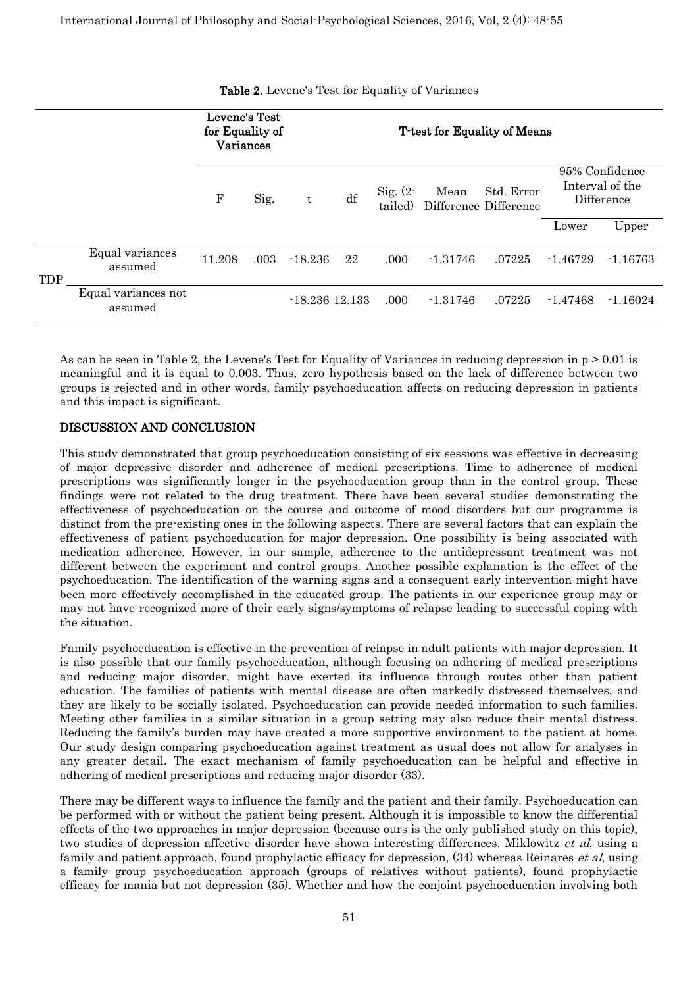|     |                                | Levene's Test<br>for Equality of<br>Variances |      |                  | <b>T</b> -test for Equality of Means |                        |            |                                     |            |                                                 |
|-----|--------------------------------|-----------------------------------------------|------|------------------|--------------------------------------|------------------------|------------|-------------------------------------|------------|-------------------------------------------------|
|     |                                | F                                             | Sig. | t                | df                                   | Sig. $(2 -$<br>tailed) | Mean       | Std. Error<br>Difference Difference |            | 95% Confidence<br>Interval of the<br>Difference |
|     |                                |                                               |      |                  |                                      |                        |            |                                     | Lower      | Upper                                           |
| TDP | Equal variances<br>assumed     | 11.208                                        | .003 | $-18.236$        | 22                                   | .000                   | $-1.31746$ | .07225                              | $-1.46729$ | $-1.16763$                                      |
|     | Equal variances not<br>assumed |                                               |      | $-18.236$ 12.133 |                                      | .000                   | $-1.31746$ | .07225                              | $-1.47468$ | $-1.16024$                                      |

Table 2. Levene's Test for Equality of Variances

As can be seen in Table 2, the Levene's Test for Equality of Variances in reducing depression in  $p > 0.01$  is meaningful and it is equal to 0.003. Thus, zero hypothesis based on the lack of difference between two groups is rejected and in other words, family psychoeducation affects on reducing depression in patients and this impact is significant.

#### DISCUSSION AND CONCLUSION

This study demonstrated that group psychoeducation consisting of six sessions was effective in decreasing of major depressive disorder and adherence of medical prescriptions. Time to adherence of medical prescriptions was significantly longer in the psychoeducation group than in the control group. These findings were not related to the drug treatment. There have been several studies demonstrating the effectiveness of psychoeducation on the course and outcome of mood disorders but our programme is distinct from the pre-existing ones in the following aspects. There are several factors that can explain the effectiveness of patient psychoeducation for major depression. One possibility is being associated with medication adherence. However, in our sample, adherence to the antidepressant treatment was not different between the experiment and control groups. Another possible explanation is the effect of the psychoeducation. The identification of the warning signs and a consequent early intervention might have been more effectively accomplished in the educated group. The patients in our experience group may or may not have recognized more of their early signs/symptoms of relapse leading to successful coping with the situation.

Family psychoeducation is effective in the prevention of relapse in adult patients with major depression. It is also possible that our family psychoeducation, although focusing on adhering of medical prescriptions and reducing major disorder, might have exerted its influence through routes other than patient education. The families of patients with mental disease are often markedly distressed themselves, and they are likely to be socially isolated. Psychoeducation can provide needed information to such families. Meeting other families in a similar situation in a group setting may also reduce their mental distress. Reducing the family's burden may have created a more supportive environment to the patient at home. Our study design comparing psychoeducation against treatment as usual does not allow for analyses in any greater detail. The exact mechanism of family psychoeducation can be helpful and effective in adhering of medical prescriptions and reducing major disorder (33).

There may be different ways to influence the family and the patient and their family. Psychoeducation can be performed with or without the patient being present. Although it is impossible to know the differential effects of the two approaches in major depression (because ours is the only published study on this topic), two studies of depression affective disorder have shown interesting differences. Miklowitz et al, using a family and patient approach, found prophylactic efficacy for depression, (34) whereas Reinares et al, using a family group psychoeducation approach (groups of relatives without patients), found prophylactic efficacy for mania but not depression (35). Whether and how the conjoint psychoeducation involving both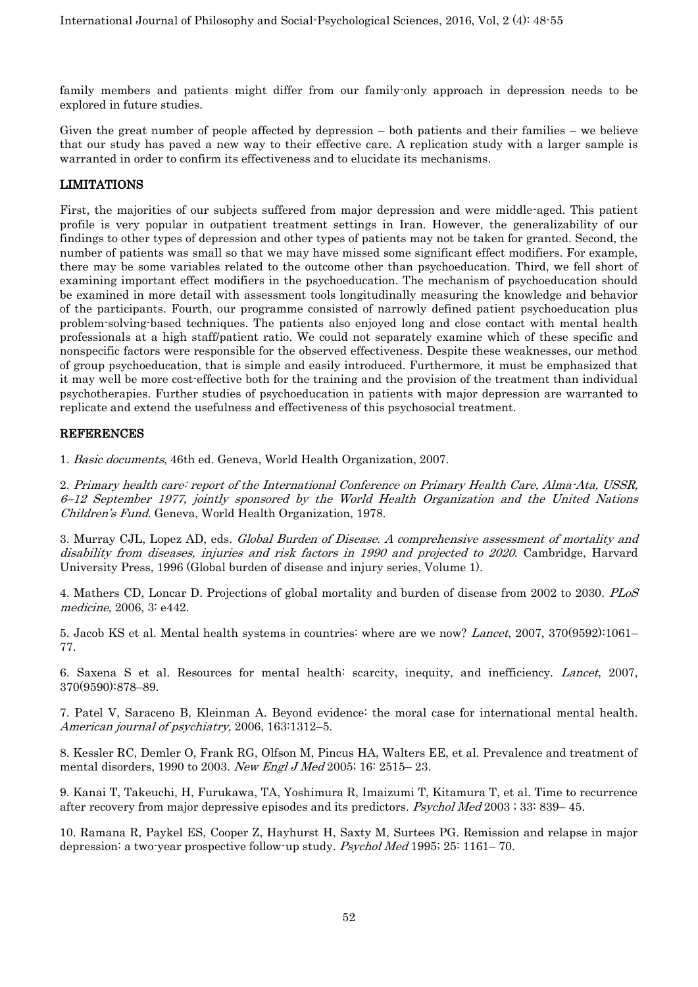family members and patients might differ from our family-only approach in depression needs to be explored in future studies.

Given the great number of people affected by depression – both patients and their families – we believe that our study has paved a new way to their effective care. A replication study with a larger sample is warranted in order to confirm its effectiveness and to elucidate its mechanisms.

#### LIMITATIONS

First, the majorities of our subjects suffered from major depression and were middle-aged. This patient profile is very popular in outpatient treatment settings in Iran. However, the generalizability of our findings to other types of depression and other types of patients may not be taken for granted. Second, the number of patients was small so that we may have missed some significant effect modifiers. For example, there may be some variables related to the outcome other than psychoeducation. Third, we fell short of examining important effect modifiers in the psychoeducation. The mechanism of psychoeducation should be examined in more detail with assessment tools longitudinally measuring the knowledge and behavior of the participants. Fourth, our programme consisted of narrowly defined patient psychoeducation plus problem-solving-based techniques. The patients also enjoyed long and close contact with mental health professionals at a high staff/patient ratio. We could not separately examine which of these specific and nonspecific factors were responsible for the observed effectiveness. Despite these weaknesses, our method of group psychoeducation, that is simple and easily introduced. Furthermore, it must be emphasized that it may well be more cost-effective both for the training and the provision of the treatment than individual psychotherapies. Further studies of psychoeducation in patients with major depression are warranted to replicate and extend the usefulness and effectiveness of this psychosocial treatment.

#### REFERENCES

1. Basic documents, 46th ed. Geneva, World Health Organization, 2007.

2. Primary health care: report of the International Conference on Primary Health Care, Alma-Ata, USSR, 6–12 September 1977, jointly sponsored by the World Health Organization and the United Nations Children's Fund. Geneva, World Health Organization, 1978.

3. Murray CJL, Lopez AD, eds. Global Burden of Disease. A comprehensive assessment of mortality and disability from diseases, injuries and risk factors in 1990 and projected to 2020. Cambridge, Harvard University Press, 1996 (Global burden of disease and injury series, Volume 1).

4. Mathers CD, Loncar D. Projections of global mortality and burden of disease from 2002 to 2030. PLoS medicine, 2006, 3: e442.

5. Jacob KS et al. Mental health systems in countries: where are we now? Lancet, 2007, 370(9592):1061– 77.

6. Saxena S et al. Resources for mental health: scarcity, inequity, and inefficiency. Lancet, 2007, 370(9590):878–89.

7. Patel V, Saraceno B, Kleinman A. Beyond evidence: the moral case for international mental health. American journal of psychiatry, 2006, 163:1312–5.

8. Kessler RC, Demler O, Frank RG, Olfson M, Pincus HA, Walters EE, et al. Prevalence and treatment of mental disorders, 1990 to 2003. New Engl J Med 2005; 16: 2515– 23.

9. Kanai T, Takeuchi, H, Furukawa, TA, Yoshimura R, Imaizumi T, Kitamura T, et al. Time to recurrence after recovery from major depressive episodes and its predictors. Psychol Med 2003 ; 33: 839– 45.

10. Ramana R, Paykel ES, Cooper Z, Hayhurst H, Saxty M, Surtees PG. Remission and relapse in major depression: a two-year prospective follow-up study. Psychol Med 1995; 25: 1161– 70.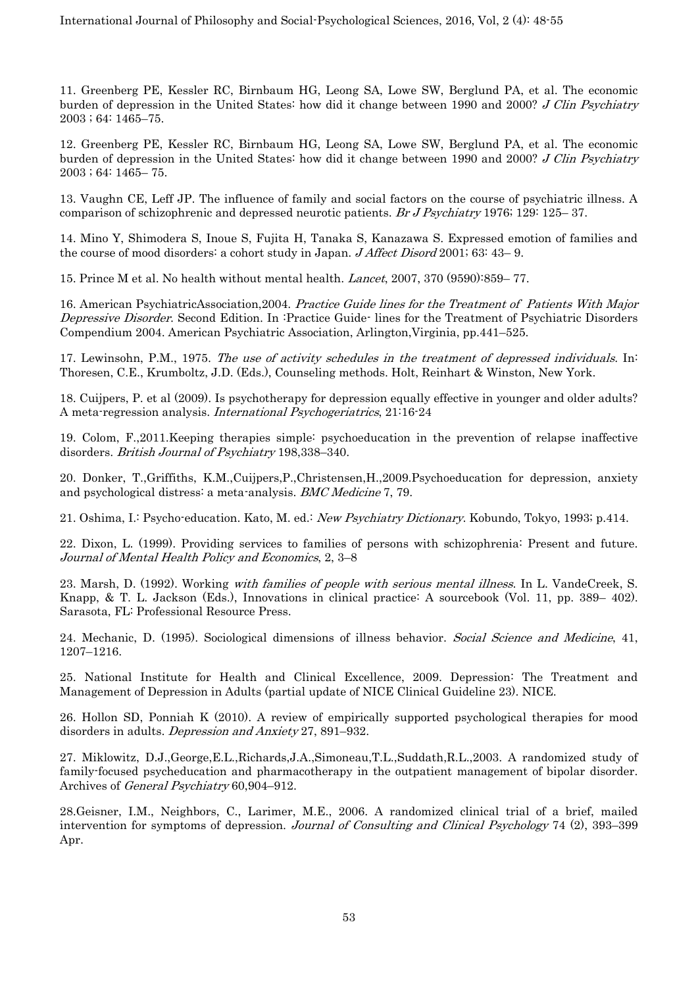11. Greenberg PE, Kessler RC, Birnbaum HG, Leong SA, Lowe SW, Berglund PA, et al. The economic burden of depression in the United States: how did it change between 1990 and 2000? J Clin Psychiatry 2003 ; 64: 1465–75.

12. Greenberg PE, Kessler RC, Birnbaum HG, Leong SA, Lowe SW, Berglund PA, et al. The economic burden of depression in the United States: how did it change between 1990 and 2000? J Clin Psychiatry 2003 ; 64: 1465– 75.

13. Vaughn CE, Leff JP. The influence of family and social factors on the course of psychiatric illness. A comparison of schizophrenic and depressed neurotic patients. Br J Psychiatry 1976; 129: 125– 37.

14. Mino Y, Shimodera S, Inoue S, Fujita H, Tanaka S, Kanazawa S. Expressed emotion of families and the course of mood disorders: a cohort study in Japan. *J Affect Disord* 2001; 63: 43–9.

15. Prince M et al. No health without mental health. Lancet, 2007, 370 (9590):859– 77.

16. American PsychiatricAssociation,2004. Practice Guide lines for the Treatment of Patients With Major Depressive Disorder. Second Edition. In :Practice Guide- lines for the Treatment of Psychiatric Disorders Compendium 2004. American Psychiatric Association, Arlington,Virginia, pp.441–525.

17. Lewinsohn, P.M., 1975. The use of activity schedules in the treatment of depressed individuals. In: Thoresen, C.E., Krumboltz, J.D. (Eds.), Counseling methods. Holt, Reinhart & Winston, New York.

18. Cuijpers, P. et al (2009). Is psychotherapy for depression equally effective in younger and older adults? A meta-regression analysis. International Psychogeriatrics, 21:16-24

19. Colom, F.,2011.Keeping therapies simple: psychoeducation in the prevention of relapse inaffective disorders. British Journal of Psychiatry 198,338-340.

20. Donker, T.,Griffiths, K.M.,Cuijpers,P.,Christensen,H.,2009.Psychoeducation for depression, anxiety and psychological distress: a meta-analysis. BMC Medicine 7, 79.

21. Oshima, I.: Psycho-education. Kato, M. ed.: New Psychiatry Dictionary. Kobundo, Tokyo, 1993; p.414.

22. Dixon, L. (1999). Providing services to families of persons with schizophrenia: Present and future. Journal of Mental Health Policy and Economics, 2, 3–8

23. Marsh, D. (1992). Working with families of people with serious mental illness. In L. VandeCreek, S. Knapp, & T. L. Jackson (Eds.), Innovations in clinical practice: A sourcebook (Vol. 11, pp. 389– 402). Sarasota, FL: Professional Resource Press.

24. Mechanic, D. (1995). Sociological dimensions of illness behavior. Social Science and Medicine, 41, 1207–1216.

25. National Institute for Health and Clinical Excellence, 2009. Depression: The Treatment and Management of Depression in Adults (partial update of NICE Clinical Guideline 23). NICE.

26. Hollon SD, Ponniah K (2010). A review of empirically supported psychological therapies for mood disorders in adults. Depression and Anxiety 27, 891–932.

27. Miklowitz, D.J.,George,E.L.,Richards,J.A.,Simoneau,T.L.,Suddath,R.L.,2003. A randomized study of family-focused psycheducation and pharmacotherapy in the outpatient management of bipolar disorder. Archives of General Psychiatry 60,904–912.

28.Geisner, I.M., Neighbors, C., Larimer, M.E., 2006. A randomized clinical trial of a brief, mailed intervention for symptoms of depression. Journal of Consulting and Clinical Psychology 74 (2), 393–399 Apr.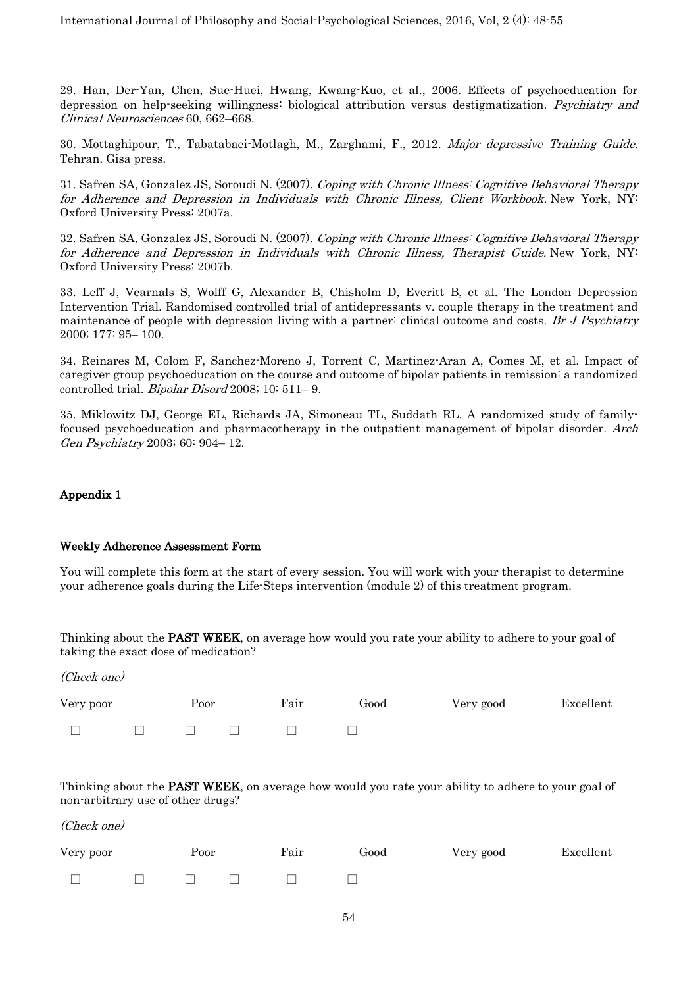29. Han, Der-Yan, Chen, Sue-Huei, Hwang, Kwang-Kuo, et al., 2006. Effects of psychoeducation for depression on help-seeking willingness: biological attribution versus destigmatization. Psychiatry and Clinical Neurosciences 60, 662–668.

30. Mottaghipour, T., Tabatabaei-Motlagh, M., Zarghami, F., 2012. Major depressive Training Guide. Tehran. Gisa press.

31. Safren SA, Gonzalez JS, Soroudi N. (2007). Coping with Chronic Illness: Cognitive Behavioral Therapy for Adherence and Depression in Individuals with Chronic Illness, Client Workbook. New York, NY: Oxford University Press; 2007a.

32. Safren SA, Gonzalez JS, Soroudi N. (2007). Coping with Chronic Illness: Cognitive Behavioral Therapy for Adherence and Depression in Individuals with Chronic Illness, Therapist Guide. New York, NY: Oxford University Press; 2007b.

33. Leff J, Vearnals S, Wolff G, Alexander B, Chisholm D, Everitt B, et al. The London Depression Intervention Trial. Randomised controlled trial of antidepressants v. couple therapy in the treatment and maintenance of people with depression living with a partner: clinical outcome and costs. Br J Psychiatry 2000; 177: 95– 100.

34. Reinares M, Colom F, Sanchez-Moreno J, Torrent C, Martinez-Aran A, Comes M, et al. Impact of caregiver group psychoeducation on the course and outcome of bipolar patients in remission: a randomized controlled trial. Bipolar Disord 2008; 10: 511– 9.

35. Miklowitz DJ, George EL, Richards JA, Simoneau TL, Suddath RL. A randomized study of familyfocused psychoeducation and pharmacotherapy in the outpatient management of bipolar disorder. Arch Gen Psychiatry 2003; 60: 904– 12.

#### Appendix 1

#### Weekly Adherence Assessment Form

You will complete this form at the start of every session. You will work with your therapist to determine your adherence goals during the Life-Steps intervention (module 2) of this treatment program.

Thinking about the **PAST WEEK**, on average how would you rate your ability to adhere to your goal of taking the exact dose of medication?

(Check one)

| Very poor |        | Poor |        | Fair | Good | Very good | Excellent |
|-----------|--------|------|--------|------|------|-----------|-----------|
| $\Box$    | $\Box$ |      | $\Box$ |      |      |           |           |

Thinking about the **PAST WEEK**, on average how would you rate your ability to adhere to your goal of non-arbitrary use of other drugs?

(Check one)

| Very poor | Poor |                                   |  | Fair | Good | Very good | Excellent |
|-----------|------|-----------------------------------|--|------|------|-----------|-----------|
|           |      | the control of the control of the |  |      |      |           |           |